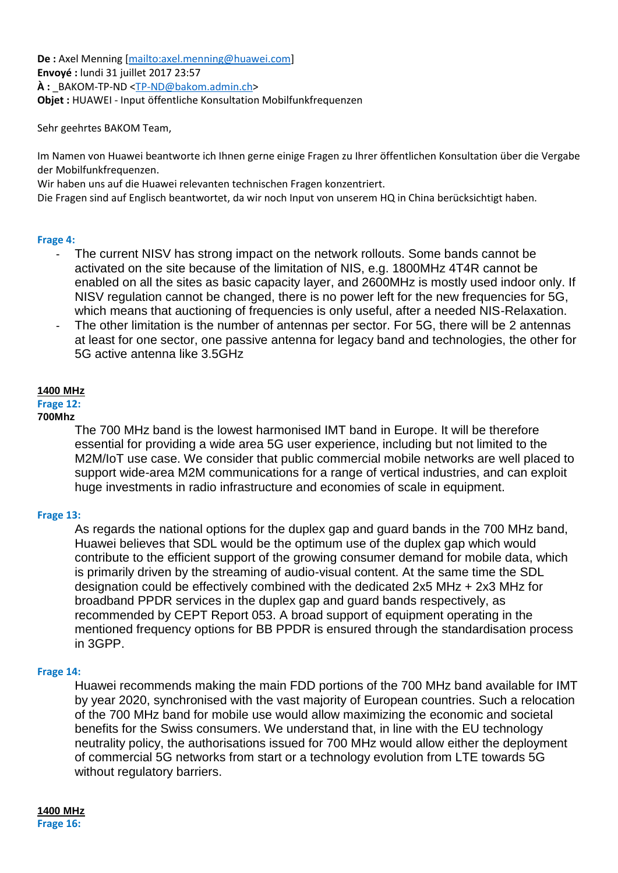**De :** Axel Menning [mailto:axel.menning@huawei.com] **Envoyé :** lundi 31 juillet 2017 23:57  $\hat{A}$  **:** BAKOM-TP-ND <TP-ND@bakom.admin.ch> **Objet :** HUAWEI - Input öffentliche Konsultation Mobilfunkfrequenzen

Sehr geehrtes BAKOM Team,

Im Namen von Huawei beantworte ich Ihnen gerne einige Fragen zu Ihrer öffentlichen Konsultation über die Vergabe der Mobilfunkfrequenzen.

Wir haben uns auf die Huawei relevanten technischen Fragen konzentriert.

Die Fragen sind auf Englisch beantwortet, da wir noch Input von unserem HQ in China berücksichtigt haben.

### **Frage 4:**

- The current NISV has strong impact on the network rollouts. Some bands cannot be activated on the site because of the limitation of NIS, e.g. 1800MHz 4T4R cannot be enabled on all the sites as basic capacity layer, and 2600MHz is mostly used indoor only. If NISV regulation cannot be changed, there is no power left for the new frequencies for 5G, which means that auctioning of frequencies is only useful, after a needed NIS-Relaxation.
- The other limitation is the number of antennas per sector. For 5G, there will be 2 antennas at least for one sector, one passive antenna for legacy band and technologies, the other for 5G active antenna like 3.5GHz

### **1400 MHz**

## **Frage 12:**

## **700Mhz**

The 700 MHz band is the lowest harmonised IMT band in Europe. It will be therefore essential for providing a wide area 5G user experience, including but not limited to the M2M/IoT use case. We consider that public commercial mobile networks are well placed to support wide-area M2M communications for a range of vertical industries, and can exploit huge investments in radio infrastructure and economies of scale in equipment.

### **Frage 13:**

As regards the national options for the duplex gap and guard bands in the 700 MHz band, Huawei believes that SDL would be the optimum use of the duplex gap which would contribute to the efficient support of the growing consumer demand for mobile data, which is primarily driven by the streaming of audio-visual content. At the same time the SDL designation could be effectively combined with the dedicated 2x5 MHz + 2x3 MHz for broadband PPDR services in the duplex gap and guard bands respectively, as recommended by CEPT Report 053. A broad support of equipment operating in the mentioned frequency options for BB PPDR is ensured through the standardisation process in 3GPP.

### **Frage 14:**

Huawei recommends making the main FDD portions of the 700 MHz band available for IMT by year 2020, synchronised with the vast majority of European countries. Such a relocation of the 700 MHz band for mobile use would allow maximizing the economic and societal benefits for the Swiss consumers. We understand that, in line with the EU technology neutrality policy, the authorisations issued for 700 MHz would allow either the deployment of commercial 5G networks from start or a technology evolution from LTE towards 5G without regulatory barriers.

# **1400 MHz**

**Frage 16:**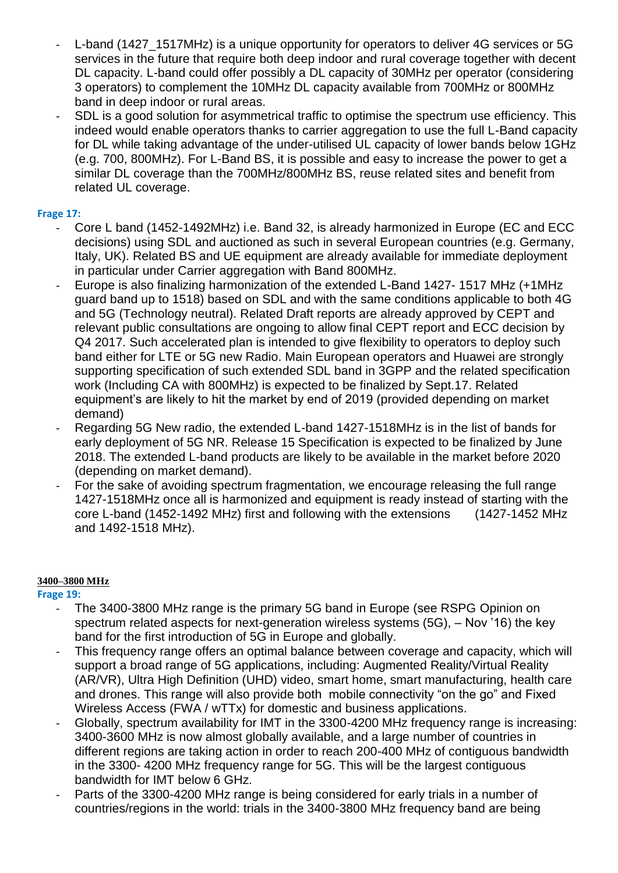- L-band (1427 1517MHz) is a unique opportunity for operators to deliver 4G services or 5G services in the future that require both deep indoor and rural coverage together with decent DL capacity. L-band could offer possibly a DL capacity of 30MHz per operator (considering 3 operators) to complement the 10MHz DL capacity available from 700MHz or 800MHz band in deep indoor or rural areas.
- SDL is a good solution for asymmetrical traffic to optimise the spectrum use efficiency. This indeed would enable operators thanks to carrier aggregation to use the full L-Band capacity for DL while taking advantage of the under-utilised UL capacity of lower bands below 1GHz (e.g. 700, 800MHz). For L-Band BS, it is possible and easy to increase the power to get a similar DL coverage than the 700MHz/800MHz BS, reuse related sites and benefit from related UL coverage.

## **Frage 17:**

- Core L band (1452-1492MHz) i.e. Band 32, is already harmonized in Europe (EC and ECC decisions) using SDL and auctioned as such in several European countries (e.g. Germany, Italy, UK). Related BS and UE equipment are already available for immediate deployment in particular under Carrier aggregation with Band 800MHz.
- Europe is also finalizing harmonization of the extended L-Band 1427-1517 MHz (+1MHz guard band up to 1518) based on SDL and with the same conditions applicable to both 4G and 5G (Technology neutral). Related Draft reports are already approved by CEPT and relevant public consultations are ongoing to allow final CEPT report and ECC decision by Q4 2017. Such accelerated plan is intended to give flexibility to operators to deploy such band either for LTE or 5G new Radio. Main European operators and Huawei are strongly supporting specification of such extended SDL band in 3GPP and the related specification work (Including CA with 800MHz) is expected to be finalized by Sept.17. Related equipment's are likely to hit the market by end of 2019 (provided depending on market demand)
- Regarding 5G New radio, the extended L-band 1427-1518MHz is in the list of bands for early deployment of 5G NR. Release 15 Specification is expected to be finalized by June 2018. The extended L-band products are likely to be available in the market before 2020 (depending on market demand).
- For the sake of avoiding spectrum fragmentation, we encourage releasing the full range 1427-1518MHz once all is harmonized and equipment is ready instead of starting with the core L-band (1452-1492 MHz) first and following with the extensions (1427-1452 MHz and 1492-1518 MHz).

### **3400–3800 MHz**

**Frage 19:**

- The 3400-3800 MHz range is the primary 5G band in Europe (see RSPG Opinion on spectrum related aspects for next-generation wireless systems (5G), – Nov '16) the key band for the first introduction of 5G in Europe and globally.
- This frequency range offers an optimal balance between coverage and capacity, which will support a broad range of 5G applications, including: Augmented Reality/Virtual Reality (AR/VR), Ultra High Definition (UHD) video, smart home, smart manufacturing, health care and drones. This range will also provide both mobile connectivity "on the go" and Fixed Wireless Access (FWA / wTTx) for domestic and business applications.
- Globally, spectrum availability for IMT in the 3300-4200 MHz frequency range is increasing: 3400-3600 MHz is now almost globally available, and a large number of countries in different regions are taking action in order to reach 200-400 MHz of contiguous bandwidth in the 3300- 4200 MHz frequency range for 5G. This will be the largest contiguous bandwidth for IMT below 6 GHz.
- Parts of the 3300-4200 MHz range is being considered for early trials in a number of countries/regions in the world: trials in the 3400-3800 MHz frequency band are being